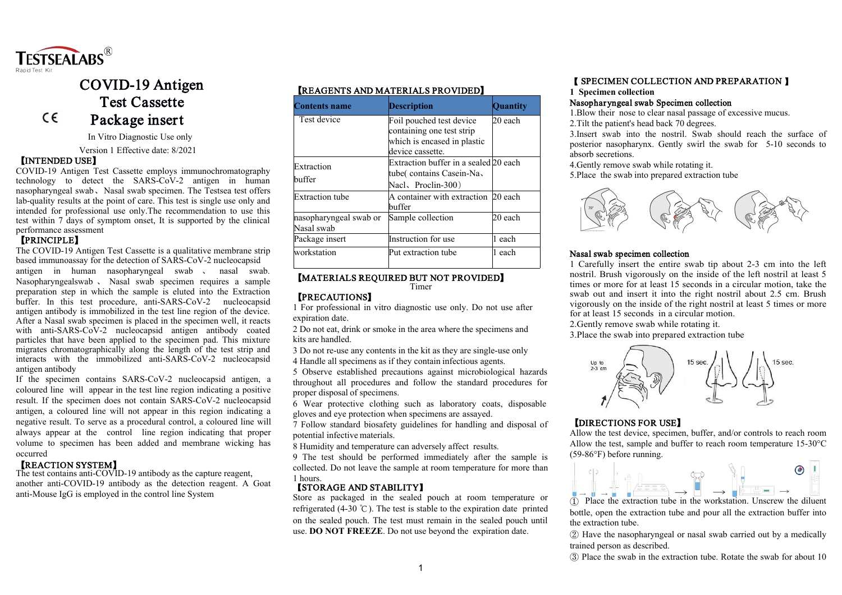

# COVID-19 Antigen Test Cassette Package insert

In Vitro Diagnostic Use only

Version 1 Effective date: 8/2021

#### **【**INTENDED USE**】**

 $C \in$ 

COVID-19 Antigen Test Cassette employs immunochromatography technology to detect the SARS-CoV-2 antigen in human nasopharyngeal swab、Nasal swab specimen. The Testsea test offers lab-quality results at the point of care. This test is single use only and intended for professional use only.The recommendation to use this test within 7 days of symptom onset, It is supported by the clinical performance assessment

# **【**PRINCIPLE**】**

The COVID-19 Antigen Test Cassette is a qualitative membrane strip based immunoassay for the detection of SARS-CoV-2 nucleocapsid<br>antigen in human nasopharyngeal swab ansal swab. Nasopharyngeal swab 、 Nasal swab specimen requires a sample preparation step in which the sample is eluted into the Extraction buffer. In this test procedure, anti-SARS-CoV-2 nucleocapsid antigen antibody is immobilized in the test line region of the device. After a Nasal swab specimen is placed in the specimen well, it reacts with anti-SARS-CoV-2 nucleocapsid antigen antibody coated particles that have been applied to the specimen pad. This mixture migrates chromatographically along the length of the test strip and interacts with the immobilized anti-SARS-CoV-2 nucleocapsid antigen antibody

If the specimen contains SARS-CoV-2 nucleocapsid antigen, a coloured line will appear in the test line region indicating a positive result. If the specimen does not contain SARS-CoV-2 nucleocapsid antigen, a coloured line will not appear in this region indicating a negative result. To serve as a procedural control, a coloured line will always appear at the control line region indicating that proper volume to specimen has been added and membrane wicking has occurred

# **【**REACTION SYSTEM**】**

The test contains anti-COVID-19 antibody as the capture reagent, another anti-COVID-19 antibody as the detection reagent. A Goat anti-Mouse  $I \subseteq G$  is employed in the control line System

# **【**REAGENTS AND MATERIALS PROVIDED**】**

| <b>Contents name</b>                 | <b>Description</b>                                                                                       | <b>Ouantity</b> |
|--------------------------------------|----------------------------------------------------------------------------------------------------------|-----------------|
| Test device                          | Foil pouched test device<br>containing one test strip<br>which is encased in plastic<br>device cassette. | $20$ each       |
| Extraction<br>buffer                 | Extraction buffer in a sealed 20 each<br>tube(contains Casein-Na<br>Nacl, Proclin-300)                   |                 |
| <b>Extraction</b> tube               | A container with extraction 20 each<br>buffer                                                            |                 |
| nasopharyngeal swab or<br>Nasal swab | Sample collection                                                                                        | 20 each         |
| Package insert                       | Instruction for use                                                                                      | each            |
| workstation                          | Put extraction tube                                                                                      | each            |

# **【**MATERIALS REQUIRED BUT NOT PROVIDED**】** Timer

# **【**PRECAUTIONS**】**

1 For professional in vitro diagnostic use only. Do not use after expiration date.

2 Do not eat, drink or smoke in the area where the specimens and kits are handled.

3 Do not re-use any contents in the kit as they are single-use only

4 Handle all specimens as if they contain infectious agents.

5 Observe established precautions against microbiological hazards throughout all procedures and follow the standard procedures for proper disposal of specimens.

6 Wear protective clothing such as laboratory coats, disposable gloves and eye protection when specimens are assayed.

7 Follow standard biosafety guidelines for handling and disposal of potential infective materials.

8 Humidity and temperature can adversely affect results.

9 The test should be performed immediately after the sample is 1 hours.

#### 【STORAGE AND STABILITY】

Store as packaged in the sealed pouch at room temperature or refrigerated (4-30 ℃). The test is stable to the expiration date printed on the sealed pouch. The test must remain in the sealed pouch until use. **DO NOT FREEZE**. Do not use beyond the expiration date.

# **【** SPECIMEN COLLECTION AND PREPARATION **】**

#### **1 Specimen collection**

# Nasopharyngeal swab Specimen collection

3.Insert swab into the nostril. Swab should reach the surface of posterior nasopharynx. Gently swirl the swab for 5-10 seconds to absorb secretions.



1 Carefully insert the entire swab tip about 2-3 cm into the left nostril. Brush vigorously on the inside of the left nostril at least 5 times or more for at least 15 seconds in a circular motion, take the swab out and insert it into the right nostril about 2.5 cm. Brush vigorously on the inside of the right nostril at least 5 times or more for at least 15 seconds in a circular motion.

2.Gently remove swab while rotating it.

3.Place the swab into prepared extraction tube



# **【**DIRECTIONS FOR USE**】**

Allow the test device, specimen, buffer, and/or controls to reach room Allow the test, sample and buffer to reach room temperature 15-30°C (59-86°F) before running.



① Place the extraction tube in the workstation. Unscrew the diluent bottle, open the extraction tube and pour all the extraction buffer into the extraction tube.

② Have the nasopharyngeal or nasal swab carried out by a medically trained person as described.

③ Place the swab in the extraction tube. Rotate the swab for about 10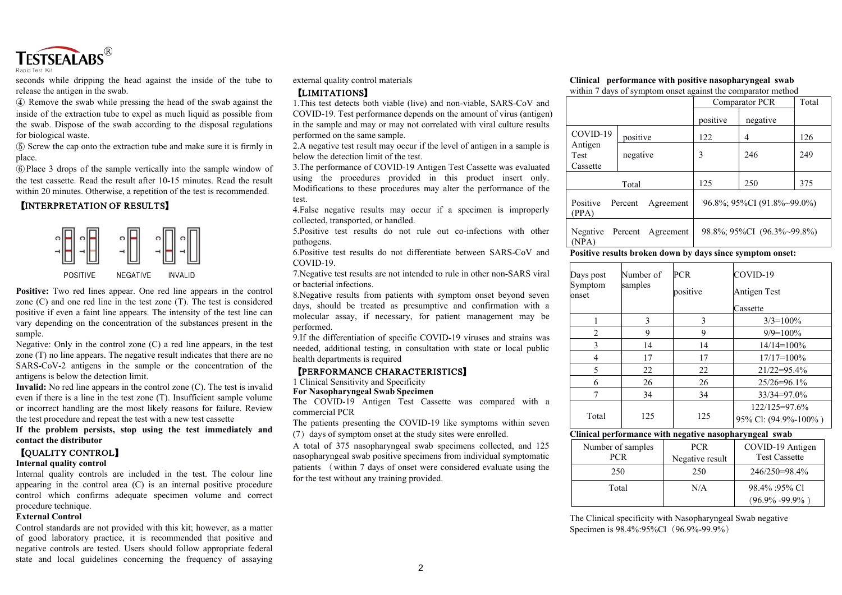

seconds while dripping the head against the inside of the tube to release the antigen in the swab.

④ Remove the swab while pressing the head of the swab against the inside of the extraction tube to expel as much liquid as possible from the swab. Dispose of the swab according to the disposal regulations for biological waste.

⑤ Screw the cap onto the extraction tube and make sure it is firmly in place.

⑥Place 3 drops of the sample vertically into the sample window of the test cassette. Read the resultafter 10-15 minutes. Read the result within 20 minutes. Otherwise, a repetition of the test is recommended.

# **【**INTERPRETATION OF RESULTS**】**



**Positive:** Two red lines appear. One red line appears in the control positive if even a faint line appears.The intensity of the test line can vary depending on the concentration of the substances present in the sample.

Negative: Only in the control zone  $(C)$  a red line appears, in the test zone (T) no line appears. The negative result indicates that there are no SARS-CoV-2 antigens in the sample or the concentration of the antigens is below the detection limit.

**Invalid:** No red line appears in the control zone (C). The test is invalid even if there is a line in the test zone (T). Insufficient sample volume or incorrect handling are the most likely reasons for failure. Review the test procedure and repeat the test with a new test cassette

**If the problem persists, stop using the testimmediately and contact the distributor**

#### **【**QUALITY CONTROL**】**

#### **Internal quality control**

Internal quality controls are included in the test. The colour line appearing in the control area (C) is an internal positive procedure control which confirms adequate specimen volume and correct procedure technique.

#### **External Control**

Control standards are not provided with this kit; however, as a matter of good laboratory practice, it is recommended that positive and state and local guidelines concerning the frequency of assaying external quality control materials

## **【**LIMITATIONS**】**

1.This test detects both viable (live) and non-viable, SARS-CoV and COVID-19. Test performance depends on the amount of virus (antigen) in the sample and may or may not correlated with viral culture results performed on the same sample.

2.A negative test result may occur if the level of antigen in a sample is below the detection limit of the test.

3.The performance of COVID-19 Antigen Test Cassette was evaluated using the procedures provided in this product insert only. Modifications to these procedures may alter the performance of the test.

4.False negative results may occur if a specimen is improperly collected, transported, or handled.

5.Positive test results do not rule out co-infections with other pathogens.

6.Positive test results do not differentiate between SARS-CoV and COVID-19.

7.Negative test results are not intended to rule in other non-SARS viral or bacterial infections.

zone (C) and one red line in the test zone (T). The test is considered<br>days, should be treated as presumptive and confirmation with a 8.Negative results from patients with symptom onset beyond seven molecular assay, if necessary, for patient management may be performed.

> 9.If the differentiation of specific COVID-19 viruses and strains was needed, additional testing, in consultation with state or local public health departments is required

#### **【**PERFORMANCE CHARACTERISTICS**】**

1 Clinical Sensitivity and Specificity

**For Nasopharyngeal Swab Specimen**

The COVID-19 Antigen Test Cassette was compared with a commercial PCR

The patients presenting the COVID-19 like symptoms within seven  $(7)$  days of symptom onset at the study sites were enrolled.

A total of 375 nasopharyngeal swab specimens collected, and 125 nasopharyngeal swab positive specimens from individual symptomatic patients (within 7 days of onset were considered evaluate using the for the test without any training provided.

#### **Clinical performance with positive nasopharyngeal swab** within 7 days of symptom onset against the comparator method

|                                    |                      | Comparator PCR | Total                      |     |  |
|------------------------------------|----------------------|----------------|----------------------------|-----|--|
|                                    |                      | positive       | negative                   |     |  |
| COVID-19                           | positive             | 122            | 4                          | 126 |  |
| Antigen<br><b>Test</b><br>Cassette | negative             | 3              | 246                        | 249 |  |
| Total                              |                      | 125            | 250                        | 375 |  |
| Positive<br>(PPA)                  | Percent<br>Agreement |                | 96.8%; 95%CI (91.8%~99.0%) |     |  |
| Negative<br>(NPA)                  | Percent<br>Agreement |                | 98.8%; 95%CI (96.3%~99.8%) |     |  |
|                                    | .                    | $\sim$         |                            |     |  |

#### **Positive results broken down by days since symptom onset:**

| Days post<br>Number of<br>Symptom<br>samples |             | <b>PCR</b><br>positive | COVID-19<br>Antigen Test              |  |
|----------------------------------------------|-------------|------------------------|---------------------------------------|--|
| onset                                        |             |                        | Cassette                              |  |
|                                              | 3           | 3                      | $3/3=100\%$                           |  |
| 2                                            | $\mathbf Q$ | 9                      | $9/9=100\%$                           |  |
| 3                                            | 14          | 14                     | $14/14=100\%$                         |  |
| $\overline{4}$                               | 17          | 17                     | $17/17=100\%$                         |  |
| 5                                            | 22          | 22                     | $21/22 = 95.4\%$                      |  |
| 6                                            | 26          | 26                     | $25/26 = 96.1\%$                      |  |
|                                              | 34          | 34                     | $33/34=97.0\%$                        |  |
| Total                                        | 125         | 125                    | 122/125=97.6%<br>95% Cl: (94.9%-100%) |  |
|                                              |             |                        |                                       |  |

### **Clinical performance with negative nasopharyngeal swab**

| Number of samples<br>PCR | PCR.<br>Negative result | COVID-19 Antigen<br><b>Test Cassette</b> |
|--------------------------|-------------------------|------------------------------------------|
| 250                      | 250                     | 246/250=98.4%                            |
| Total                    | N/A                     | 98.4% :95% Cl                            |
|                          |                         | $(96.9\% - 99.9\%)$                      |

The Clinical specificity with Nasopharyngeal Swab negative Specimen is 98.4%:95%Cl (96.9%-99.9%)